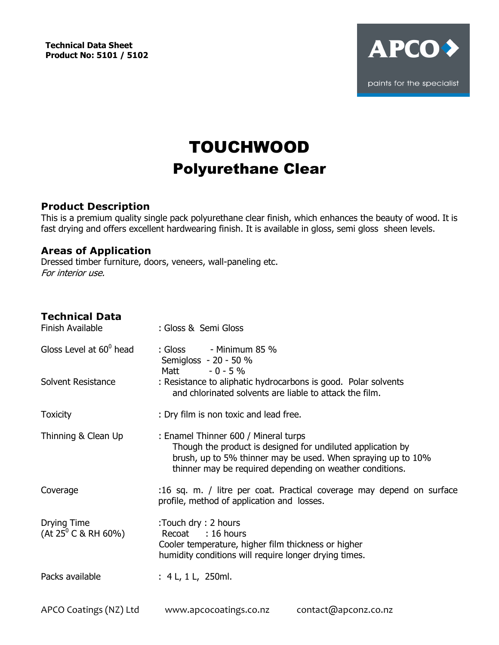**Technical Data Sheet Product No: 5101 / 5102**



# TOUCHWOOD Polyurethane Clear

# **Product Description**

This is a premium quality single pack polyurethane clear finish, which enhances the beauty of wood. It is fast drying and offers excellent hardwearing finish. It is available in gloss, semi gloss sheen levels.

### **Areas of Application**

Dressed timber furniture, doors, veneers, wall-paneling etc. For interior use.

| <b>Technical Data</b><br>Finish Available      | : Gloss & Semi Gloss                                                                                                                                                                                                            |
|------------------------------------------------|---------------------------------------------------------------------------------------------------------------------------------------------------------------------------------------------------------------------------------|
| Gloss Level at $60^{\circ}$ head               | : Gloss<br>- Minimum 85 $%$<br>Semigloss - 20 - 50 %<br>$-0 - 5 \%$<br>Matt                                                                                                                                                     |
| Solvent Resistance                             | : Resistance to aliphatic hydrocarbons is good. Polar solvents<br>and chlorinated solvents are liable to attack the film.                                                                                                       |
| <b>Toxicity</b>                                | : Dry film is non toxic and lead free.                                                                                                                                                                                          |
| Thinning & Clean Up                            | : Enamel Thinner 600 / Mineral turps<br>Though the product is designed for undiluted application by<br>brush, up to 5% thinner may be used. When spraying up to 10%<br>thinner may be required depending on weather conditions. |
| Coverage                                       | :16 sq. m. / litre per coat. Practical coverage may depend on surface<br>profile, method of application and losses.                                                                                                             |
| Drying Time<br>(At 25 <sup>0</sup> C & RH 60%) | :Touch dry: 2 hours<br>Recoat : 16 hours<br>Cooler temperature, higher film thickness or higher<br>humidity conditions will require longer drying times.                                                                        |
| Packs available                                | : 4 L, 1 L, 250ml.                                                                                                                                                                                                              |
| APCO Coatings (NZ) Ltd                         | contact@apconz.co.nz<br>www.apcocoatings.co.nz                                                                                                                                                                                  |